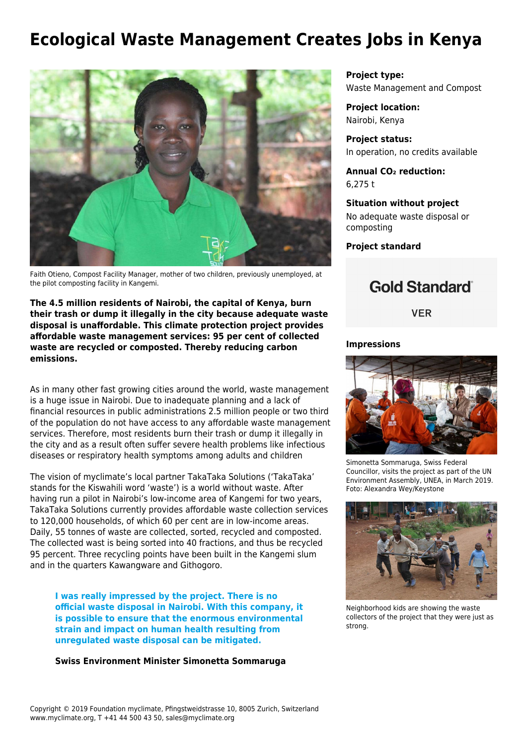## **Ecological Waste Management Creates Jobs in Kenya**



Faith Otieno, Compost Facility Manager, mother of two children, previously unemployed, at the pilot composting facility in Kangemi.

**The 4.5 million residents of Nairobi, the capital of Kenya, burn their trash or dump it illegally in the city because adequate waste disposal is unaffordable. This climate protection project provides affordable waste management services: 95 per cent of collected waste are recycled or composted. Thereby reducing carbon emissions.**

As in many other fast growing cities around the world, waste management is a huge issue in Nairobi. Due to inadequate planning and a lack of financial resources in public administrations 2.5 million people or two third of the population do not have access to any affordable waste management services. Therefore, most residents burn their trash or dump it illegally in the city and as a result often suffer severe health problems like infectious diseases or respiratory health symptoms among adults and children

The vision of myclimate's local partner [TakaTaka Solutions](http://takatakasolutions.com/) ('TakaTaka' stands for the Kiswahili word 'waste') is a world without waste. After having run a pilot in Nairobi's low-income area of Kangemi for two years, TakaTaka Solutions currently provides affordable waste collection services to 120,000 households, of which 60 per cent are in low-income areas. Daily, 55 tonnes of waste are collected, sorted, recycled and composted. The collected wast is being sorted into 40 fractions, and thus be recycled 95 percent. Three recycling points have been built in the Kangemi slum and in the quarters Kawangware and Githogoro.

**I was really impressed by the project. There is no official waste disposal in Nairobi. With this company, it is possible to ensure that the enormous environmental strain and impact on human health resulting from unregulated waste disposal can be mitigated.**

**Swiss Environment Minister Simonetta Sommaruga**

**Project type:** Waste Management and Compost

**Project location:** Nairobi, Kenya

**Project status:** In operation, no credits available

**Annual CO₂ reduction:** 6,275 t

**Situation without project** No adequate waste disposal or composting

**Project standard**



**VER** 

## **Impressions**



Simonetta Sommaruga, Swiss Federal Councillor, visits the project as part of the UN Environment Assembly, UNEA, in March 2019. Foto: Alexandra Wey/Keystone



Neighborhood kids are showing the waste collectors of the project that they were just as strong.